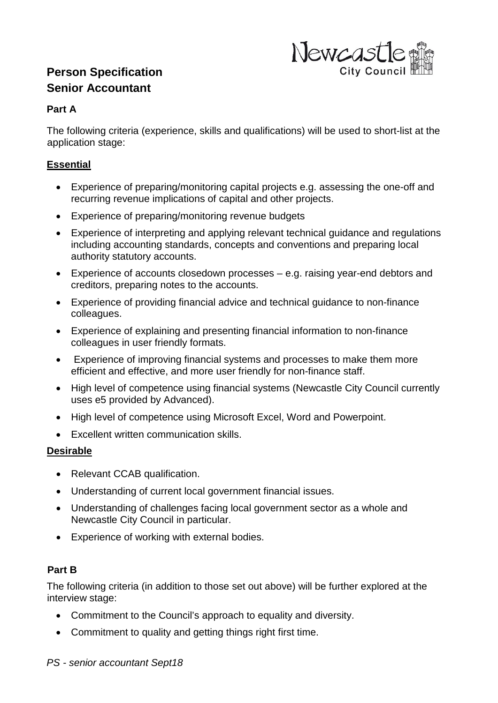# **Person Specification Senior Accountant**



# **Part A**

The following criteria (experience, skills and qualifications) will be used to short-list at the application stage:

# **Essential**

- Experience of preparing/monitoring capital projects e.g. assessing the one-off and recurring revenue implications of capital and other projects.
- Experience of preparing/monitoring revenue budgets
- Experience of interpreting and applying relevant technical guidance and regulations including accounting standards, concepts and conventions and preparing local authority statutory accounts.
- Experience of accounts closedown processes e.g. raising year-end debtors and creditors, preparing notes to the accounts.
- Experience of providing financial advice and technical guidance to non-finance colleagues.
- Experience of explaining and presenting financial information to non-finance colleagues in user friendly formats.
- Experience of improving financial systems and processes to make them more efficient and effective, and more user friendly for non-finance staff.
- High level of competence using financial systems (Newcastle City Council currently uses e5 provided by Advanced).
- High level of competence using Microsoft Excel, Word and Powerpoint.
- Excellent written communication skills.

# **Desirable**

- Relevant CCAB qualification.
- Understanding of current local government financial issues.
- Understanding of challenges facing local government sector as a whole and Newcastle City Council in particular.
- Experience of working with external bodies.

# **Part B**

The following criteria (in addition to those set out above) will be further explored at the interview stage:

- Commitment to the Council's approach to equality and diversity.
- Commitment to quality and getting things right first time.